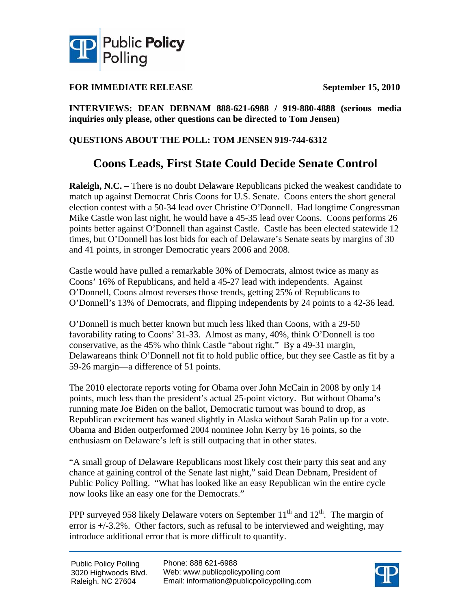

### **FOR IMMEDIATE RELEASE September 15, 2010**

### **INTERVIEWS: DEAN DEBNAM 888-621-6988 / 919-880-4888 (serious media inquiries only please, other questions can be directed to Tom Jensen)**

### **QUESTIONS ABOUT THE POLL: TOM JENSEN 919-744-6312**

## **Coons Leads, First State Could Decide Senate Control**

**Raleigh, N.C.** – There is no doubt Delaware Republicans picked the weakest candidate to match up against Democrat Chris Coons for U.S. Senate. Coons enters the short general election contest with a 50-34 lead over Christine O'Donnell. Had longtime Congressman Mike Castle won last night, he would have a 45-35 lead over Coons. Coons performs 26 points better against O'Donnell than against Castle. Castle has been elected statewide 12 times, but O'Donnell has lost bids for each of Delaware's Senate seats by margins of 30 and 41 points, in stronger Democratic years 2006 and 2008.

Castle would have pulled a remarkable 30% of Democrats, almost twice as many as Coons' 16% of Republicans, and held a 45-27 lead with independents. Against O'Donnell, Coons almost reverses those trends, getting 25% of Republicans to O'Donnell's 13% of Democrats, and flipping independents by 24 points to a 42-36 lead.

O'Donnell is much better known but much less liked than Coons, with a 29-50 favorability rating to Coons' 31-33. Almost as many, 40%, think O'Donnell is too conservative, as the 45% who think Castle "about right." By a 49-31 margin, Delawareans think O'Donnell not fit to hold public office, but they see Castle as fit by a 59-26 margin—a difference of 51 points.

The 2010 electorate reports voting for Obama over John McCain in 2008 by only 14 points, much less than the president's actual 25-point victory. But without Obama's running mate Joe Biden on the ballot, Democratic turnout was bound to drop, as Republican excitement has waned slightly in Alaska without Sarah Palin up for a vote. Obama and Biden outperformed 2004 nominee John Kerry by 16 points, so the enthusiasm on Delaware's left is still outpacing that in other states.

"A small group of Delaware Republicans most likely cost their party this seat and any chance at gaining control of the Senate last night," said Dean Debnam, President of Public Policy Polling. "What has looked like an easy Republican win the entire cycle now looks like an easy one for the Democrats."

PPP surveyed 958 likely Delaware voters on September  $11<sup>th</sup>$  and  $12<sup>th</sup>$ . The margin of error is +/-3.2%. Other factors, such as refusal to be interviewed and weighting, may introduce additional error that is more difficult to quantify.

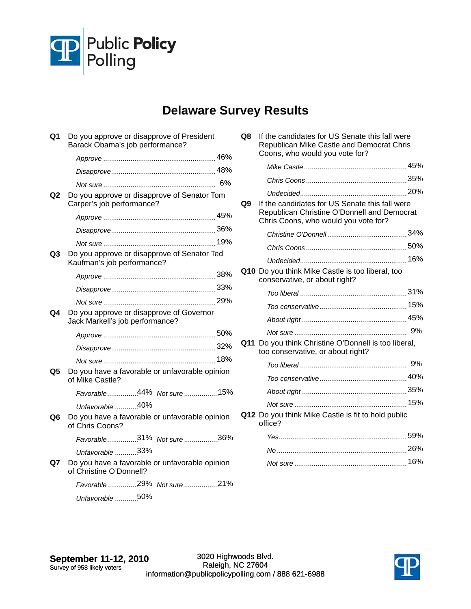

# **Delaware Survey Results**

| Q1             | Do you approve or disapprove of President<br>Barack Obama's job performance? |  |  |  |  |  |  |
|----------------|------------------------------------------------------------------------------|--|--|--|--|--|--|
|                |                                                                              |  |  |  |  |  |  |
|                |                                                                              |  |  |  |  |  |  |
|                |                                                                              |  |  |  |  |  |  |
| Q <sub>2</sub> | Do you approve or disapprove of Senator Tom<br>Carper's job performance?     |  |  |  |  |  |  |
|                |                                                                              |  |  |  |  |  |  |
|                |                                                                              |  |  |  |  |  |  |
|                |                                                                              |  |  |  |  |  |  |
| Q <sub>3</sub> | Do you approve or disapprove of Senator Ted<br>Kaufman's job performance?    |  |  |  |  |  |  |
|                |                                                                              |  |  |  |  |  |  |
|                |                                                                              |  |  |  |  |  |  |
|                |                                                                              |  |  |  |  |  |  |
| Q4             | Do you approve or disapprove of Governor<br>Jack Markell's job performance?  |  |  |  |  |  |  |
|                |                                                                              |  |  |  |  |  |  |
|                |                                                                              |  |  |  |  |  |  |
|                |                                                                              |  |  |  |  |  |  |
| Q5             | Do you have a favorable or unfavorable opinion<br>of Mike Castle?            |  |  |  |  |  |  |
|                | Favorable44% Not sure15%                                                     |  |  |  |  |  |  |
|                | Unfavorable 40%                                                              |  |  |  |  |  |  |
| Q6             | Do you have a favorable or unfavorable opinion<br>of Chris Coons?            |  |  |  |  |  |  |
|                | Favorable31% Not sure36%                                                     |  |  |  |  |  |  |
|                | Unfavorable 33%                                                              |  |  |  |  |  |  |
| Q7             | Do you have a favorable or unfavorable opinion<br>of Christine O'Donnell?    |  |  |  |  |  |  |
|                | Favorable29% Not sure21%                                                     |  |  |  |  |  |  |
|                | Unfavorable 50%                                                              |  |  |  |  |  |  |

| Q8 | If the candidates for US Senate this fall were<br>Republican Mike Castle and Democrat Chris<br>Coons, who would you vote for?         |  |
|----|---------------------------------------------------------------------------------------------------------------------------------------|--|
|    |                                                                                                                                       |  |
|    |                                                                                                                                       |  |
|    |                                                                                                                                       |  |
| Q9 | If the candidates for US Senate this fall were<br>Republican Christine O'Donnell and Democrat<br>Chris Coons, who would you vote for? |  |
|    |                                                                                                                                       |  |
|    |                                                                                                                                       |  |
|    |                                                                                                                                       |  |
|    | Q10 Do you think Mike Castle is too liberal, too<br>conservative, or about right?                                                     |  |
|    |                                                                                                                                       |  |
|    |                                                                                                                                       |  |
|    |                                                                                                                                       |  |
|    |                                                                                                                                       |  |
|    | Q11 Do you think Christine O'Donnell is too liberal,<br>too conservative, or about right?                                             |  |
|    |                                                                                                                                       |  |
|    |                                                                                                                                       |  |
|    |                                                                                                                                       |  |
|    |                                                                                                                                       |  |
|    | Q12 Do you think Mike Castle is fit to hold public<br>office?                                                                         |  |
|    |                                                                                                                                       |  |
|    |                                                                                                                                       |  |
|    |                                                                                                                                       |  |

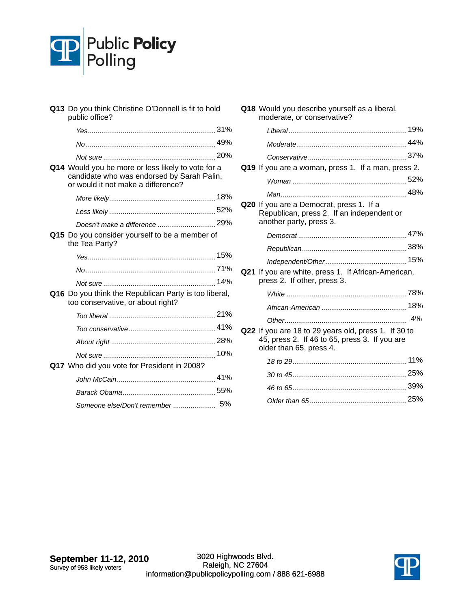

| Q13 Do you think Christine O'Donnell is fit to hold<br>public office?                                                                  |  |
|----------------------------------------------------------------------------------------------------------------------------------------|--|
|                                                                                                                                        |  |
|                                                                                                                                        |  |
|                                                                                                                                        |  |
| Q14 Would you be more or less likely to vote for a<br>candidate who was endorsed by Sarah Palin,<br>or would it not make a difference? |  |
|                                                                                                                                        |  |
|                                                                                                                                        |  |
|                                                                                                                                        |  |
| Q15 Do you consider yourself to be a member of<br>the Tea Party?                                                                       |  |
|                                                                                                                                        |  |
|                                                                                                                                        |  |
|                                                                                                                                        |  |
| Q16 Do you think the Republican Party is too liberal,<br>too conservative, or about right?                                             |  |
|                                                                                                                                        |  |
|                                                                                                                                        |  |
|                                                                                                                                        |  |
|                                                                                                                                        |  |
| Q17 Who did you vote for President in 2008?                                                                                            |  |
|                                                                                                                                        |  |
|                                                                                                                                        |  |
|                                                                                                                                        |  |

|     | Q18 Would you describe yourself as a liberal,<br>moderate, or conservative?                                                      |  |
|-----|----------------------------------------------------------------------------------------------------------------------------------|--|
|     |                                                                                                                                  |  |
|     |                                                                                                                                  |  |
|     |                                                                                                                                  |  |
|     | Q19 If you are a woman, press 1. If a man, press 2.                                                                              |  |
|     |                                                                                                                                  |  |
|     |                                                                                                                                  |  |
|     | Q20 If you are a Democrat, press 1. If a<br>Republican, press 2. If an independent or<br>another party, press 3.                 |  |
|     |                                                                                                                                  |  |
|     |                                                                                                                                  |  |
|     |                                                                                                                                  |  |
| Q21 | If you are white, press 1. If African-American,<br>press 2. If other, press 3.                                                   |  |
|     |                                                                                                                                  |  |
|     |                                                                                                                                  |  |
|     |                                                                                                                                  |  |
|     | Q22 If you are 18 to 29 years old, press 1. If 30 to<br>45, press 2. If 46 to 65, press 3. If you are<br>older than 65, press 4. |  |
|     |                                                                                                                                  |  |
|     |                                                                                                                                  |  |
|     |                                                                                                                                  |  |
|     |                                                                                                                                  |  |

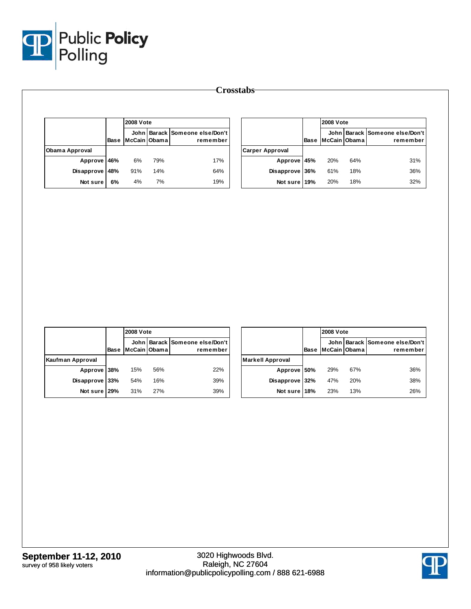

|                |             |     | <b>2008 Vote</b> |                                            |  |  |
|----------------|-------------|-----|------------------|--------------------------------------------|--|--|
|                | <b>Base</b> |     | McCain Obama     | John Barack Someone else/Don't<br>remember |  |  |
| Obama Approval |             |     |                  |                                            |  |  |
| Approve 46%    |             | 6%  | 79%              | 17%                                        |  |  |
| Disapprove     | 48%         | 91% | 14%              | 64%                                        |  |  |
| Not sure       | 6%          | 4%  | 7%               | 19%                                        |  |  |

|                        |      | <b>2008 Vote</b> |     |                                            |
|------------------------|------|------------------|-----|--------------------------------------------|
|                        | Base | McCain Obama     |     | John Barack Someone else/Don't<br>remember |
| <b>Carper Approval</b> |      |                  |     |                                            |
| Approve 45%            |      | 20%              | 64% | 31%                                        |
| Disapprove 36%         |      | 61%              | 18% | 36%                                        |
| Not sure 19%           |      | 20%              | 18% | 32%                                        |

|                  |      |              | <b>2008 Vote</b> |                                            |  |
|------------------|------|--------------|------------------|--------------------------------------------|--|
|                  | Base | McCain Obama |                  | John Barack Someone else/Don't<br>remember |  |
| Kaufman Approval |      |              |                  |                                            |  |
| Approve 38%      |      | 15%          | 56%              | 22%                                        |  |
| Disapprove 33%   |      | 54%          | 16%              | 39%                                        |  |
| Not sure 29%     |      | 31%          | 27%              | 39%                                        |  |

|                         |      | <b>2008 Vote</b> |     |                                            |
|-------------------------|------|------------------|-----|--------------------------------------------|
|                         | Base | McCain Obama     |     | John Barack Someone else/Don't<br>remember |
| <b>Markell Approval</b> |      |                  |     |                                            |
| Approve 50%             |      | 29%              | 67% | 36%                                        |
| Disapprove              | 32%  | 47%              | 20% | 38%                                        |
| Not sure 18%            |      | 23%              | 13% | 26%                                        |

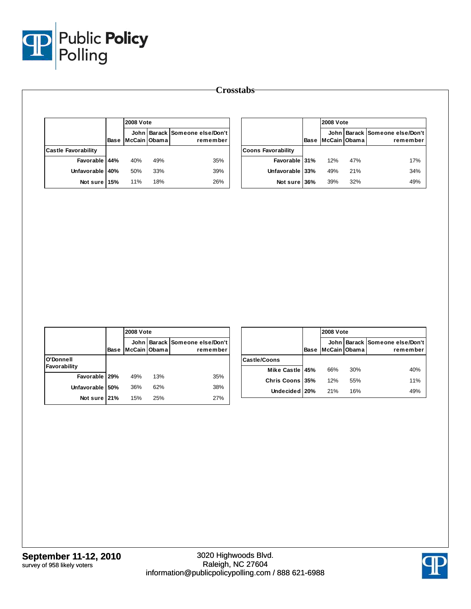

|                            |      | <b>2008 Vote</b>       |     |                                       |
|----------------------------|------|------------------------|-----|---------------------------------------|
|                            | Base | John I<br>McCain Obama |     | Barack Someone else/Don't<br>remember |
| <b>Castle Favorability</b> |      |                        |     |                                       |
| Favorable 44%              |      | 40%                    | 49% | 35%                                   |
| Unfavorable I              | 40%  | 50%                    | 33% | 39%                                   |
| Not sure 15%               |      | 11%                    | 18% | 26%                                   |

|                           |      | <b>2008 Vote</b> |     |                                            |
|---------------------------|------|------------------|-----|--------------------------------------------|
|                           | Base | McCain Obama     |     | John Barack Someone else/Don't<br>remember |
| <b>Coons Favorability</b> |      |                  |     |                                            |
| Favorable 31%             |      | 12%              | 47% | 17%                                        |
| Unfavorable 33%           |      | 49%              | 21% | 34%                                        |
| Not sure 36%              |      | 39%              | 32% | 49%                                        |

|                           |             |              | <b>2008 Vote</b> |                                            |  |
|---------------------------|-------------|--------------|------------------|--------------------------------------------|--|
|                           | <b>Base</b> | McCain Obama |                  | John Barack Someone else/Don't<br>remember |  |
| O'Donnell<br>Favorability |             |              |                  |                                            |  |
| Favorable 29%             |             | 49%          | 13%              | 35%                                        |  |
| Unfavorable 50%           |             | 36%          | 62%              | 38%                                        |  |
| Not sure 21%              |             | 15%          | 25%              | 27%                                        |  |

|                     |             |              | <b>2008 Vote</b> |                                            |  |
|---------------------|-------------|--------------|------------------|--------------------------------------------|--|
|                     | <b>Base</b> | McCain Obama |                  | John Barack Someone else/Don't<br>remember |  |
| <b>Castle/Coons</b> |             |              |                  |                                            |  |
| Mike Castle 45%     |             | 66%          | 30%              | 40%                                        |  |
| Chris Coons 35%     |             | 12%          | 55%              | 11%                                        |  |
| Undecided 20%       |             | 21%          | 16%              | 49%                                        |  |

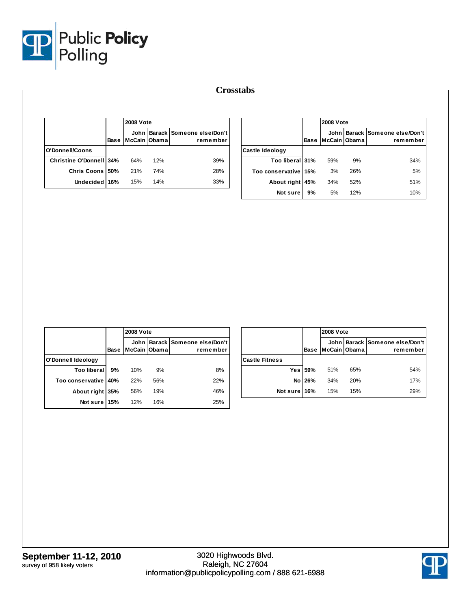

|                                |      |                 | <b>2008 Vote</b> |                                            |  |  |  |  |
|--------------------------------|------|-----------------|------------------|--------------------------------------------|--|--|--|--|
|                                | Base | McCain IObama I |                  | John Barack Someone else/Don't<br>remember |  |  |  |  |
| O'Donnell/Coons                |      |                 |                  |                                            |  |  |  |  |
| <b>Christine O'Donnell 34%</b> |      | 64%             | 12%              | 39%                                        |  |  |  |  |
| Chris Coons 50%                |      | 21%             | 74%              | 28%                                        |  |  |  |  |
| Undecided 16%                  |      | 15%             | 14%              | 33%                                        |  |  |  |  |

|                        |             | <b>2008 Vote</b>     |     |                                       |
|------------------------|-------------|----------------------|-----|---------------------------------------|
|                        | <b>Base</b> | John<br>McCain Obama |     | Barack Someone else/Don't<br>remember |
| Castle Ideology        |             |                      |     |                                       |
| Too liberal 31%        |             | 59%                  | 9%  | 34%                                   |
| Too conservative   15% |             | 3%                   | 26% | 5%                                    |
| About right            | 45%         | 34%                  | 52% | 51%                                   |
| Not sure               | 9%          | 5%                   | 12% | 10%                                   |

|                    |             |                        | <b>2008 Vote</b> |                                       |  |  |  |  |  |
|--------------------|-------------|------------------------|------------------|---------------------------------------|--|--|--|--|--|
|                    | <b>Base</b> | John I<br>McCain Obama |                  | Barack Someone else/Don't<br>remember |  |  |  |  |  |
| O'Donnell Ideology |             |                        |                  |                                       |  |  |  |  |  |
| <b>Too liberal</b> | 9%          | 10%                    | 9%               | 8%                                    |  |  |  |  |  |
| Too conservative   | 40%         | 22%                    | 56%              | 22%                                   |  |  |  |  |  |
| About right 35%    |             | 56%                    | 19%              | 46%                                   |  |  |  |  |  |
| Not sure           | 15%         | 12%                    | 16%              | 25%                                   |  |  |  |  |  |

|                       |             |              | <b>2008 Vote</b> |                                            |  |  |  |  |
|-----------------------|-------------|--------------|------------------|--------------------------------------------|--|--|--|--|
|                       | <b>Base</b> | McCain Obama |                  | John Barack Someone else/Don't<br>remember |  |  |  |  |
| <b>Castle Fitness</b> |             |              |                  |                                            |  |  |  |  |
|                       | Yes 59%     | 51%          | 65%              | 54%                                        |  |  |  |  |
|                       | No 26%      | 34%          | 20%              | 17%                                        |  |  |  |  |
| Not sure 16%          |             | 15%          | 15%              | 29%                                        |  |  |  |  |

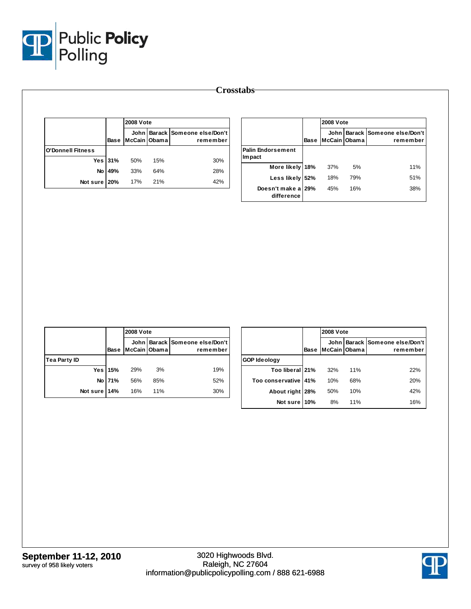

| <b>Crosstabs</b> |  |
|------------------|--|
|------------------|--|

|                          |         |              | <b>2008 Vote</b> |                                            |  |  |  |  |
|--------------------------|---------|--------------|------------------|--------------------------------------------|--|--|--|--|
|                          | Base    | McCain Obama |                  | John Barack Someone else/Don't<br>remember |  |  |  |  |
| <b>O'Donnell Fitness</b> |         |              |                  |                                            |  |  |  |  |
|                          | Yes 31% | 50%          | 15%              | 30%                                        |  |  |  |  |
| No.                      | 49%     | 33%          | 64%              | 28%                                        |  |  |  |  |
| Not sure 20%             |         | 17%          | 21%              | 42%                                        |  |  |  |  |

|                                     |             | <b>2008 Vote</b>       |     |                                       |  |  |
|-------------------------------------|-------------|------------------------|-----|---------------------------------------|--|--|
|                                     | <b>Base</b> | John l<br>McCain Obama |     | Barack Someone else/Don't<br>remember |  |  |
| <b>Palin Endorsement</b><br>Im pact |             |                        |     |                                       |  |  |
| More likely 18%                     |             | 37%                    | 5%  | 11%                                   |  |  |
| Less likely 52%                     |             | 18%                    | 79% | 51%                                   |  |  |
| Doesn't make a 29%<br>difference    |             | 45%                    | 16% | 38%                                   |  |  |

|              |         | <b>2008 Vote</b> |     |                                            |
|--------------|---------|------------------|-----|--------------------------------------------|
|              | Base    | McCain Obama     |     | John Barack Someone else/Don't<br>remember |
| Tea Party ID |         |                  |     |                                            |
|              | Yes 15% | 29%              | 3%  | 19%                                        |
|              | No 71%  | 56%              | 85% | 52%                                        |
| Not sure 14% |         | 16%              | 11% | 30%                                        |

|                        |             | <b>2008 Vote</b>       |     |                                       |  |  |  |  |
|------------------------|-------------|------------------------|-----|---------------------------------------|--|--|--|--|
|                        | <b>Base</b> | John I<br>McCain Obama |     | Barack Someone else/Don't<br>remember |  |  |  |  |
| <b>GOP Ideology</b>    |             |                        |     |                                       |  |  |  |  |
| Too liberal 21%        |             | 32%                    | 11% | 22%                                   |  |  |  |  |
| Too conservative   41% |             | 10%                    | 68% | 20%                                   |  |  |  |  |
| About right            | 28%         | 50%                    | 10% | 42%                                   |  |  |  |  |
| Not sure               | 10%         | 8%                     | 11% | 16%                                   |  |  |  |  |

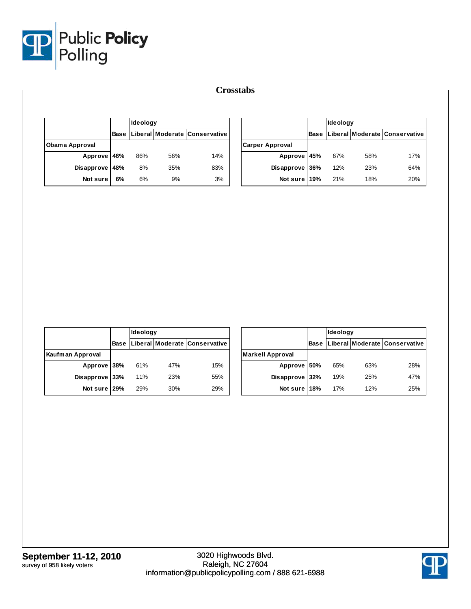

|                       |             | Ideology |     |                               |                        |             | Ideology |     |                                |
|-----------------------|-------------|----------|-----|-------------------------------|------------------------|-------------|----------|-----|--------------------------------|
|                       | <b>Base</b> |          |     | Liberal Moderate Conservative |                        | <b>Base</b> |          |     | Liberal Moderate  Conservative |
| <b>Obama Approval</b> |             |          |     |                               | <b>Carper Approval</b> |             |          |     |                                |
| Approve               | 46%         | 86%      | 56% | 14%                           | Approve                | 45%         | 67%      | 58% | 17%                            |
| Disapprove            | 48%         | 8%       | 35% | 83%                           | Disapprove             | 36%         | 12%      | 23% | 64%                            |
| Not sure              | 6%          | 6%       | 9%  | 3%                            | Not sure 19%           |             | 21%      | 18% | 20%                            |

|                  |             | <b>Ideology</b> |     |                               |  |  |
|------------------|-------------|-----------------|-----|-------------------------------|--|--|
|                  | <b>Base</b> |                 |     | Liberal Moderate Conservative |  |  |
| Kaufman Approval |             |                 |     |                               |  |  |
| Approve 38%      |             | 61%             | 47% | 15%                           |  |  |
| Disapprove 33%   |             | 11%             | 23% | 55%                           |  |  |
| Not sure 29%     |             | 29%             | 30% | 29%                           |  |  |

|                         |             | Ideology |     |                               |  |  |  |
|-------------------------|-------------|----------|-----|-------------------------------|--|--|--|
|                         | <b>Base</b> |          |     | Liberal Moderate Conservative |  |  |  |
| <b>Markell Approval</b> |             |          |     |                               |  |  |  |
| Approve 50%             |             | 65%      | 63% | 28%                           |  |  |  |
| Disapprove 32%          |             | 19%      | 25% | 47%                           |  |  |  |
| Not sure 18%            |             | 17%      | 12% | 25%                           |  |  |  |

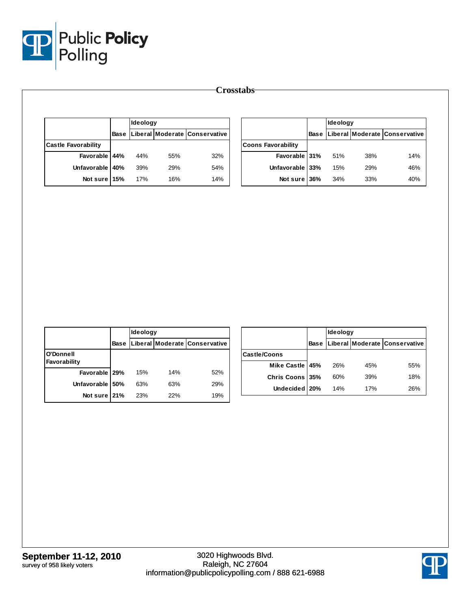

|                            |             | Ideology |     |                               |                           | Ideology |     |     |                                           |  |
|----------------------------|-------------|----------|-----|-------------------------------|---------------------------|----------|-----|-----|-------------------------------------------|--|
|                            | <b>Base</b> |          |     | Liberal Moderate Conservative |                           |          |     |     | <b>Base Liberal Moderate Conservative</b> |  |
| <b>Castle Favorability</b> |             |          |     |                               | <b>Coons Favorability</b> |          |     |     |                                           |  |
| Favorable                  | 44%         | 44%      | 55% | 32%                           | Favorable 31%             |          | 51% | 38% | 14%                                       |  |
| Unfavorable 40%            |             | 39%      | 29% | 54%                           | Unfavorable 33%           |          | 15% | 29% | 46%                                       |  |
| Not sure 15%               |             | 17%      | 16% | 14%                           | Not sure 36%              |          | 34% | 33% | 40%                                       |  |

|                           |      | <b>Ideology</b> |     |                               |  |
|---------------------------|------|-----------------|-----|-------------------------------|--|
|                           | Base |                 |     | Liberal Moderate Conservative |  |
| O'Donnell<br>Favorability |      |                 |     |                               |  |
| Favorable 29%             |      | 15%             | 14% | 52%                           |  |
| Unfavorable 50%           |      | 63%             | 63% | 29%                           |  |
| Not sure 21%              |      | 23%             | 22% | 19%                           |  |

|                        |             | Ideology |     |                               |  |
|------------------------|-------------|----------|-----|-------------------------------|--|
|                        | <b>Base</b> |          |     | Liberal Moderate Conservative |  |
| Castle/Coons           |             |          |     |                               |  |
| Mike Castle   45%      |             | 26%      | 45% | 55%                           |  |
| <b>Chris Coons 35%</b> |             | 60%      | 39% | 18%                           |  |
| Undecided 20%          |             | 14%      | 17% | 26%                           |  |

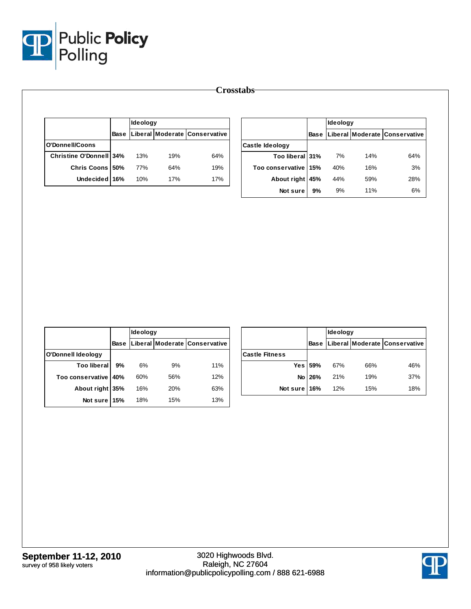

|                                |      | Ideology |     |                               |
|--------------------------------|------|----------|-----|-------------------------------|
|                                | Base |          |     | Liberal Moderate Conservative |
| O'Donnell/Coons                |      |          |     |                               |
| <b>Christine O'Donnell 34%</b> |      | 13%      | 19% | 64%                           |
| Chris Coons 50%                |      | 77%      | 64% | 19%                           |
| Undecided 16%                  |      | 10%      | 17% | 17%                           |

|                        |      | <b>Ideology</b> |     |                                |  |
|------------------------|------|-----------------|-----|--------------------------------|--|
|                        | Base |                 |     | Liberal Moderate  Conservative |  |
| Castle Ideology        |      |                 |     |                                |  |
| Too liberal 31%        |      | 7%              | 14% | 64%                            |  |
| Too conservative   15% |      | 40%             | 16% | 3%                             |  |
| About right            | 45%  | 44%             | 59% | 28%                            |  |
| Not sure               | 9%   | 9%              | 11% | 6%                             |  |

|                    |             | Ideology |            |                               |  |
|--------------------|-------------|----------|------------|-------------------------------|--|
|                    | <b>Base</b> |          |            | Liberal Moderate Conservative |  |
| O'Donnell Ideology |             |          |            |                               |  |
| Too liberal l      | 9%          | 6%       | 9%         | 11%                           |  |
| Too conservative   | 40%         | 60%      | 56%        | 12%                           |  |
| About right 35%    |             | 16%      | <b>20%</b> | 63%                           |  |
| Not sure           | 15%         | 18%      | 15%        | 13%                           |  |

|                       |         | <b>Ideology</b> |     |                                    |  |
|-----------------------|---------|-----------------|-----|------------------------------------|--|
|                       |         |                 |     | Base Liberal Moderate Conservative |  |
| <b>Castle Fitness</b> |         |                 |     |                                    |  |
|                       | Yes 59% | 67%             | 66% | 46%                                |  |
|                       | No 26%  | 21%             | 19% | 37%                                |  |
| Not sure 16%          |         | 12%             | 15% | 18%                                |  |

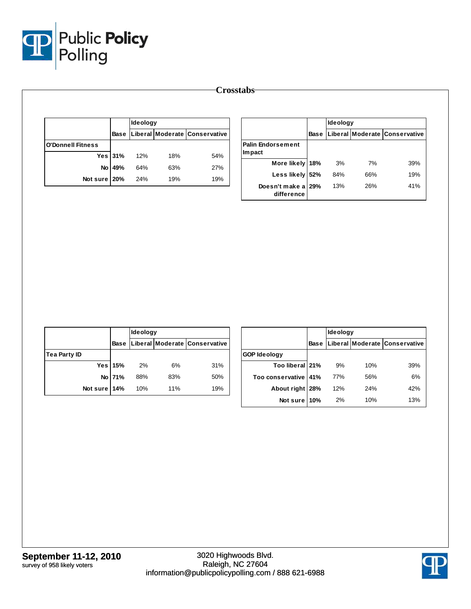

|                          |          | Ideology                      |     |     |  |
|--------------------------|----------|-------------------------------|-----|-----|--|
|                          | Base     | Liberal Moderate Conservative |     |     |  |
| <b>O'Donnell Fitness</b> |          |                               |     |     |  |
|                          | Yes 31%  | 12%                           | 18% | 54% |  |
|                          | No   49% | 64%                           | 63% | 27% |  |
| Not sure 20%             |          | 24%                           | 19% | 19% |  |

|                                     |             | Ideology |     |                               |  |
|-------------------------------------|-------------|----------|-----|-------------------------------|--|
|                                     | <b>Base</b> |          |     | Liberal Moderate Conservative |  |
| <b>Palin Endorsement</b><br>lm pact |             |          |     |                               |  |
| More likely 18%                     |             | 3%       | 7%  | 39%                           |  |
| Less likely                         | 52%         | 84%      | 66% | 19%                           |  |
| Doesn't make a 29%<br>difference    |             | 13%      | 26% | 41%                           |  |

|                     |             | Ideology |     |                               |  |  |
|---------------------|-------------|----------|-----|-------------------------------|--|--|
|                     | <b>Base</b> |          |     | Liberal Moderate Conservative |  |  |
| <b>Tea Party ID</b> |             |          |     |                               |  |  |
|                     | Yes   15%   | 2%       | 6%  | 31%                           |  |  |
|                     | No 71%      | 88%      | 83% | 50%                           |  |  |
| Not sure 14%        |             | 10%      | 11% | 19%                           |  |  |

|                     |      | <b>Ideology</b> |     |                               |  |  |
|---------------------|------|-----------------|-----|-------------------------------|--|--|
|                     | Base |                 |     | Liberal Moderate Conservative |  |  |
| <b>GOP Ideology</b> |      |                 |     |                               |  |  |
| Too liberal 21%     |      | 9%              | 10% | 39%                           |  |  |
| Too conservative    | 41%  | 77%             | 56% | 6%                            |  |  |
| About right         | 28%  | 12%             | 24% | 42%                           |  |  |
| Not sure            | 10%  | 2%              | 10% | 13%                           |  |  |

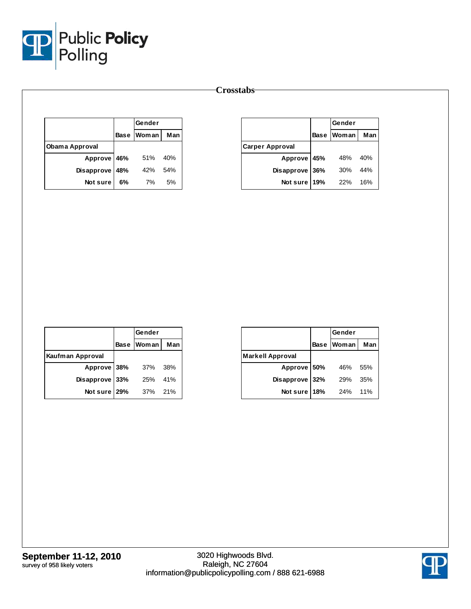

|                |     | Gender     |     |  |
|----------------|-----|------------|-----|--|
|                |     | Base Woman | Man |  |
| Obama Approval |     |            |     |  |
| Approve 46%    |     | 51%        | 40% |  |
| Disapprove     | 48% | 42%        | 54% |  |
| Not sure       | 6%  | 7%         | 5%  |  |

|                        |             | Gender |     |
|------------------------|-------------|--------|-----|
|                        | <b>Base</b> | Woman  | Man |
| <b>Carper Approval</b> |             |        |     |
| Approve 45%            |             | 48%    | 40% |
| <b>Disapprove</b>      | 36%         | 30%    | 44% |
| Not sure               | 19%         | 22%    | 16% |

|                  | Gender       |     |
|------------------|--------------|-----|
|                  | Base   Woman | Man |
| Kaufman Approval |              |     |
| Approve 38%      | 37%          | 38% |
| Disapprove 33%   | 25%          | 41% |
| Not sure 29%     | 37%          | 21% |

|                         |             | Gender       |     |
|-------------------------|-------------|--------------|-----|
|                         | <b>Base</b> | <b>Woman</b> | Man |
| <b>Markell Approval</b> |             |              |     |
| Approve 50%             |             | 46%          | 55% |
| Disapprove              | 32%         | 29%          | 35% |
| Not sure                | 18%         | 24%          | 11% |

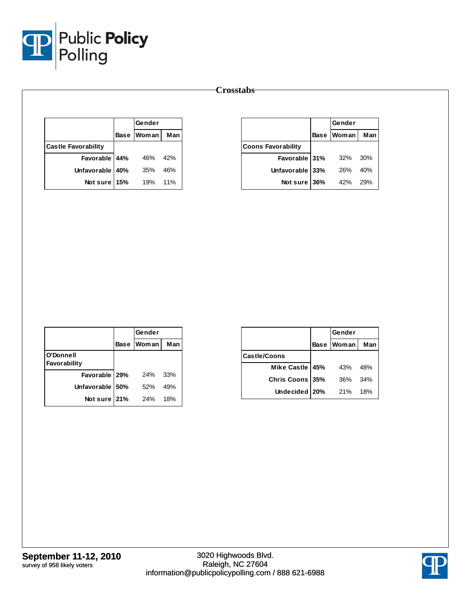

|                            |             | Gender |     |
|----------------------------|-------------|--------|-----|
|                            | <b>Base</b> | Woman  | Man |
| <b>Castle Favorability</b> |             |        |     |
| Favorable 44%              |             | 46%    | 42% |
| Unfavorable   40%          |             | 35%    | 46% |
| Not sure 15%               |             | 19%    | 11% |

|                           |             | Gender       |     |
|---------------------------|-------------|--------------|-----|
|                           | <b>Base</b> | <b>Woman</b> | Man |
| <b>Coons Favorability</b> |             |              |     |
| Favorable 31%             |             | 32%          | 30% |
| Unfavorable 33%           |             | 26%          | 40% |
| Not sure 36%              |             | 42%          | 29% |

|                           |      | Gender       |     |
|---------------------------|------|--------------|-----|
|                           | Base | <b>Woman</b> | Man |
| O'Donnell<br>Favorability |      |              |     |
| Favorable   29%           |      | 24%          | 33% |
| Unfavorable               | 50%  | 52%          | 49% |
| Not sure 21%              |      | 24%          | 18% |

|                     |             | Gender |     |
|---------------------|-------------|--------|-----|
|                     | <b>Base</b> | Woman  | Man |
| <b>Castle/Coons</b> |             |        |     |
| Mike Castle 45%     |             | 43%    | 48% |
| Chris Coons 35%     |             | 36%    | 34% |
| Undecided   20%     |             | 21%    | 18% |

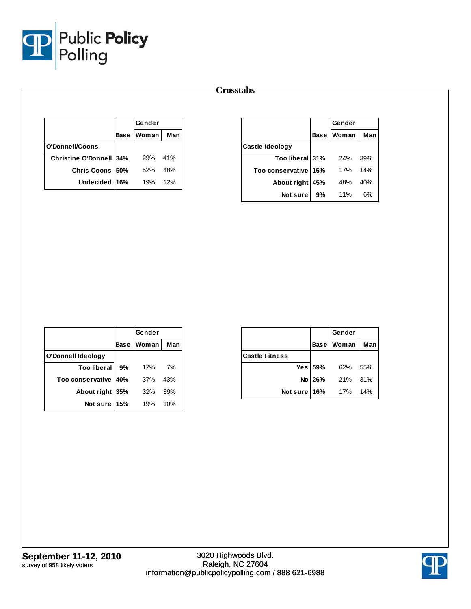

|                                | Gender       |     |
|--------------------------------|--------------|-----|
|                                | Base   Woman | Man |
| O'Donnell/Coons                |              |     |
| <b>Christine O'Donnell 34%</b> | 29%          | 41% |
| Chris Coons 50%                | 52%          | 48% |
| Undecided 16%                  | 19%          | 12% |

|                        |             | Gender       |     |
|------------------------|-------------|--------------|-----|
|                        | <b>Base</b> | <b>Woman</b> | Man |
| <b>Castle Ideology</b> |             |              |     |
| Too liberal 31%        |             | 24%          | 39% |
| Too conservative       | 15%         | 17%          | 14% |
| About right            | 45%         | 48%          | 40% |
| Not sure               | 9%          | 11%          | 6%  |

|                    |     | Gender     |     |
|--------------------|-----|------------|-----|
|                    |     | Base Woman | Man |
| O'Donnell Ideology |     |            |     |
| <b>Too liberal</b> | 9%  | 12%        | 7%  |
| Too conservative   | 40% | 37%        | 43% |
| About right 35%    |     | 32%        | 39% |
| Not sure           | 15% | 19%        | 10% |

|                       |         | Gender     |     |
|-----------------------|---------|------------|-----|
|                       |         | Base Woman | Man |
| <b>Castle Fitness</b> |         |            |     |
|                       | Yes 59% | 62%        | 55% |
|                       | No 26%  | 21%        | 31% |
| Not sure              | 16%     | 17%        | 14% |

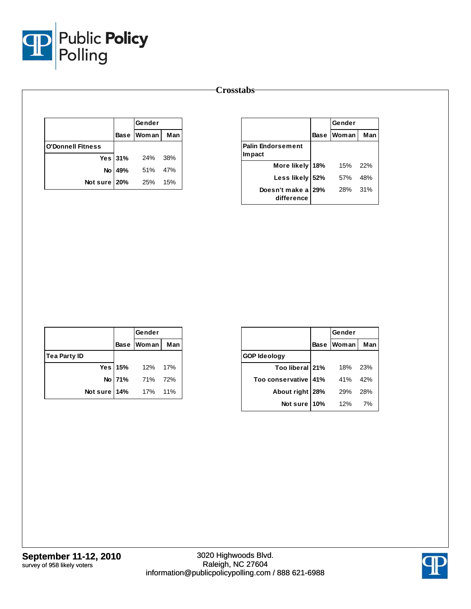

|                          | Gender           |       |
|--------------------------|------------------|-------|
|                          | Base Woman       | Man   |
| <b>O'Donnell Fitness</b> |                  |       |
|                          | Yes 31% 24% 38%  |       |
|                          | No   49% 51% 47% |       |
| Not sure   20% 25%       |                  | - 15% |

|                                     | Gender       |     |
|-------------------------------------|--------------|-----|
|                                     | Base   Woman | Man |
| <b>Palin Endorsement</b><br>Im pact |              |     |
| More likely 18%                     | 15%          | 22% |
| Less likely 52%                     | 57%          | 48% |
| Doesn't make a 29%<br>difference    | 28%          | 31% |

|                     |        | Gender          |     |
|---------------------|--------|-----------------|-----|
|                     |        | Base Woman      | Man |
| <b>Tea Party ID</b> |        |                 |     |
|                     |        | Yes 15% 12% 17% |     |
|                     | No 71% | 71% 72%         |     |
| Not sure 14%        |        | 17%             | 11% |

|                 | Gender |       |
|-----------------|--------|-------|
| <b>Base</b>     |        | Man   |
|                 |        |       |
| Too liberal 21% | 18%    | 23%   |
| 41%             | 41%    | 42%   |
| About right 28% | 29%    | 28%   |
| 10%             | 12%    | 7%    |
|                 |        | Woman |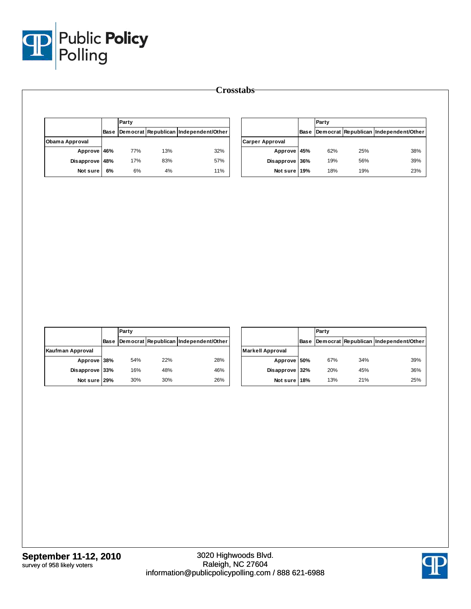

|                |    | Party |     |                                                  | Party                  |  |     |     |                                            |
|----------------|----|-------|-----|--------------------------------------------------|------------------------|--|-----|-----|--------------------------------------------|
|                |    |       |     | Base   Democrat   Republican   Independent/Other |                        |  |     |     | Base Democrat Republican Independent/Other |
| Obama Approval |    |       |     |                                                  | <b>Carper Approval</b> |  |     |     |                                            |
| Approve 46%    |    | 77%   | 13% | 32%                                              | Approve 45%            |  | 62% | 25% | 38%                                        |
| Disapprove 48% |    | 17%   | 83% | 57%                                              | Disapprove 36%         |  | 19% | 56% | 39%                                        |
| Not sure       | 6% | 6%    | 4%  | 11%                                              | Not sure 19%           |  | 18% | 19% | 23%                                        |

|                  |             | Party |     |                                       |  |  |
|------------------|-------------|-------|-----|---------------------------------------|--|--|
|                  | <b>Base</b> |       |     | Democrat Republican Independent/Other |  |  |
| Kaufman Approval |             |       |     |                                       |  |  |
| Approve 38%      |             | 54%   | 22% | 28%                                   |  |  |
| Disapprove 33%   |             | 16%   | 48% | 46%                                   |  |  |
| Not sure 29%     |             | 30%   | 30% | 26%                                   |  |  |

|                         |      | Party |     |                                       |
|-------------------------|------|-------|-----|---------------------------------------|
|                         | Base |       |     | Democrat Republican Independent/Other |
| <b>Markell Approval</b> |      |       |     |                                       |
| Approve 50%             |      | 67%   | 34% | 39%                                   |
| Disapprove 32%          |      | 20%   | 45% | 36%                                   |
| Not sure 18%            |      | 13%   | 21% | 25%                                   |

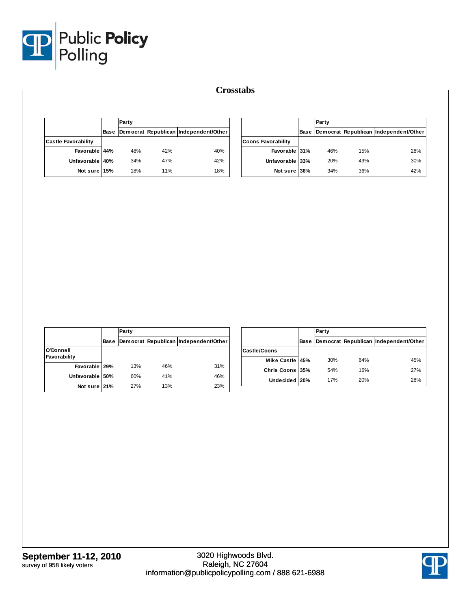

|                            | Party |     |                                            |                           | Party |     |                                            |
|----------------------------|-------|-----|--------------------------------------------|---------------------------|-------|-----|--------------------------------------------|
|                            |       |     | Base Democrat Republican Independent/Other |                           |       |     | Base Democrat Republican Independent/Other |
| <b>Castle Favorability</b> |       |     |                                            | <b>Coons Favorability</b> |       |     |                                            |
| Favorable 44%              | 48%   | 42% | 40%                                        | Favorable 31%             | 46%   | 15% | 28%                                        |
| Unfavorable 40%            | 34%   | 47% | 42%                                        | Unfavorable 33%           | 20%   | 49% | 30%                                        |
| Not sure 15%               | 18%   | 11% | 18%                                        | Not sure 36%              | 34%   | 36% | 42%                                        |

|                           |             | Party |     |                                       |  |  |
|---------------------------|-------------|-------|-----|---------------------------------------|--|--|
|                           | <b>Base</b> |       |     | Democrat Republican Independent/Other |  |  |
| O'Donnell<br>Favorability |             |       |     |                                       |  |  |
| Favorable 29%             |             | 13%   | 46% | 31%                                   |  |  |
| Unfavorable 50%           |             | 60%   | 41% | 46%                                   |  |  |
| Not sure 21%              |             | 27%   | 13% | 23%                                   |  |  |

|                 |      | Party |     |                                       |  |  |
|-----------------|------|-------|-----|---------------------------------------|--|--|
|                 | Base |       |     | Democrat Republican Independent/Other |  |  |
| Castle/Coons    |      |       |     |                                       |  |  |
| Mike Castle 45% |      | 30%   | 64% | 45%                                   |  |  |
| Chris Coons 35% |      | 54%   | 16% | 27%                                   |  |  |
| Undecided 20%   |      | 17%   | 20% | 28%                                   |  |  |

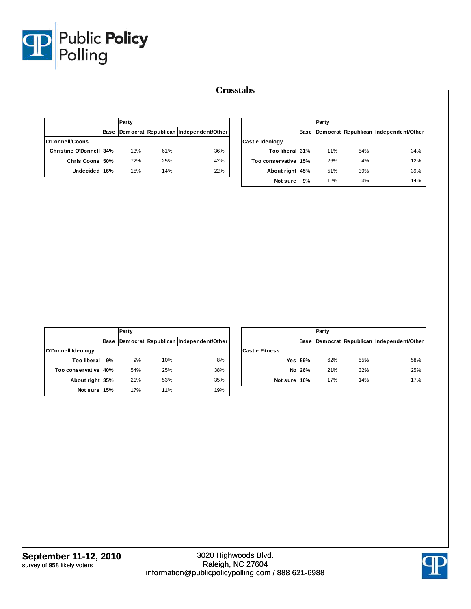

|                         |      | Party |     |                                       |  |
|-------------------------|------|-------|-----|---------------------------------------|--|
|                         | Base |       |     | Democrat Republican Independent/Other |  |
| O'Donnell/Coons         |      |       |     |                                       |  |
| Christine O'Donnell 34% |      | 13%   | 61% | 36%                                   |  |
| Chris Coons 50%         |      | 72%   | 25% | 42%                                   |  |
| Undecided 16%           |      | 15%   | 14% | 22%                                   |  |

|                        |      | Party      |     |                                       |
|------------------------|------|------------|-----|---------------------------------------|
|                        | Base |            |     | Democrat Republican Independent/Other |
| Castle Ideology        |      |            |     |                                       |
| Too liberal 31%        |      | <b>11%</b> | 54% | 34%                                   |
| Too conservative   15% |      | 26%        | 4%  | 12%                                   |
| About right            | 45%  | 51%        | 39% | 39%                                   |
| Not sure               | 9%   | 12%        | 3%  | 14%                                   |

|                    |      | Party |     |                                       |  |  |  |
|--------------------|------|-------|-----|---------------------------------------|--|--|--|
|                    | Base |       |     | Democrat Republican Independent/Other |  |  |  |
| O'Donnell Ideology |      |       |     |                                       |  |  |  |
| <b>Too liberal</b> | 9%   | 9%    | 10% | 8%                                    |  |  |  |
| Too conservative   | 40%  | 54%   | 25% | 38%                                   |  |  |  |
| About right 35%    |      | 21%   | 53% | 35%                                   |  |  |  |
| Not sure           | 15%  | 17%   | 11% | 19%                                   |  |  |  |

|                       |             | Party |     |                                       |  |  |  |
|-----------------------|-------------|-------|-----|---------------------------------------|--|--|--|
|                       | <b>Base</b> |       |     | Democrat Republican Independent/Other |  |  |  |
| <b>Castle Fitness</b> |             |       |     |                                       |  |  |  |
|                       | Yes 59%     | 62%   | 55% | 58%                                   |  |  |  |
|                       | No 26%      | 21%   | 32% | 25%                                   |  |  |  |
| Not sure 16%          |             | 17%   | 14% | 17%                                   |  |  |  |

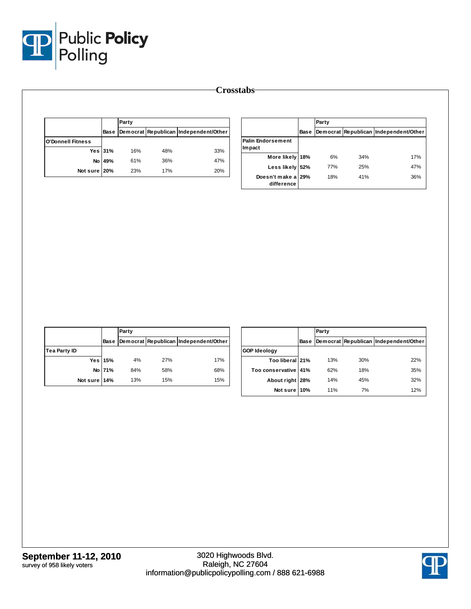

|                          |         | Party |     |                                       |  |  |  |
|--------------------------|---------|-------|-----|---------------------------------------|--|--|--|
|                          | Base    |       |     | Democrat Republican Independent/Other |  |  |  |
| <b>O'Donnell Fitness</b> |         |       |     |                                       |  |  |  |
|                          | Yes 31% | 16%   | 48% | 33%                                   |  |  |  |
| No l                     | 49%     | 61%   | 36% | 47%                                   |  |  |  |
| Not sure 20%             |         | 23%   | 17% | 20%                                   |  |  |  |

|                                    |             | Party |     |                                       |  |  |  |
|------------------------------------|-------------|-------|-----|---------------------------------------|--|--|--|
|                                    | <b>Base</b> |       |     | Democrat Republican Independent/Other |  |  |  |
| <b>Palin Endorsement</b><br>Impact |             |       |     |                                       |  |  |  |
| More likely                        | 18%         | 6%    | 34% | 17%                                   |  |  |  |
| Less likely                        | 52%         | 77%   | 25% | 47%                                   |  |  |  |
| Doesn't make a 29%<br>difference   |             | 18%   | 41% | 36%                                   |  |  |  |

|                     |         | Party |     |                                       |  |  |  |  |
|---------------------|---------|-------|-----|---------------------------------------|--|--|--|--|
|                     | Base    |       |     | Democrat Republican Independent/Other |  |  |  |  |
| <b>Tea Party ID</b> |         |       |     |                                       |  |  |  |  |
|                     | Yes 15% | 4%    | 27% | 17%                                   |  |  |  |  |
|                     | No 71%  | 84%   | 58% | 68%                                   |  |  |  |  |
| Not sure 14%        |         | 13%   | 15% | 15%                                   |  |  |  |  |

|                       |      | Party |     |                                       |  |  |  |  |
|-----------------------|------|-------|-----|---------------------------------------|--|--|--|--|
|                       | Base |       |     | Democrat Republican Independent/Other |  |  |  |  |
| <b>GOP Ideology</b>   |      |       |     |                                       |  |  |  |  |
| Too liberal 21%       |      | 13%   | 30% | 22%                                   |  |  |  |  |
| Too conservative 141% |      | 62%   | 18% | 35%                                   |  |  |  |  |
| About right   28%     |      | 14%   | 45% | 32%                                   |  |  |  |  |
| Not sure I            | 10%  | 11%   | 7%  | 12%                                   |  |  |  |  |

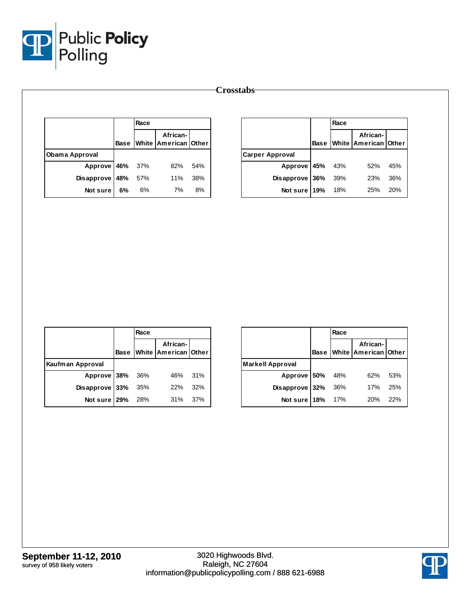

|                       |             | Race |                                  |     |                        |     | Race |                                       |     |  |
|-----------------------|-------------|------|----------------------------------|-----|------------------------|-----|------|---------------------------------------|-----|--|
|                       | <b>Base</b> |      | African-<br>White American Other |     |                        |     |      | African-<br>Base White American Other |     |  |
| <b>Obama Approval</b> |             |      |                                  |     | <b>Carper Approval</b> |     |      |                                       |     |  |
| Approve 46%           |             | 37%  | 82%                              | 54% | Approve                | 45% | 43%  | 52%                                   | 45% |  |
| Disapprove 48%        |             | 57%  | 11%                              | 38% | <b>Disapprove</b>      | 36% | 39%  | 23%                                   | 36% |  |
| Not sure              | 6%          | 6%   | 7%                               | 8%  | Not sure               | 19% | 18%  | 25%                                   | 20% |  |

|                       |             | Race |                                         |     |
|-----------------------|-------------|------|-----------------------------------------|-----|
|                       | <b>Base</b> |      | African-<br><b>White American Other</b> |     |
| Kaufman Approval      |             |      |                                         |     |
| Approve 38% 36%       |             |      | 46% 31%                                 |     |
| Disapprove $33\%$ 35% |             |      | 22%                                     | 32% |
| Not sure 29%          |             | 28%  | 31%                                     | 37% |

|                         |             | Race |                                  |     |
|-------------------------|-------------|------|----------------------------------|-----|
|                         | <b>Base</b> |      | African-<br>White American Other |     |
| <b>Markell Approval</b> |             |      |                                  |     |
| Approve 50% 48%         |             |      | 62%                              | 53% |
| Disapprove $32%$        |             | 36%  | 17%                              | 25% |
| Not sure   18% 17%      |             |      | 20%                              | 22% |

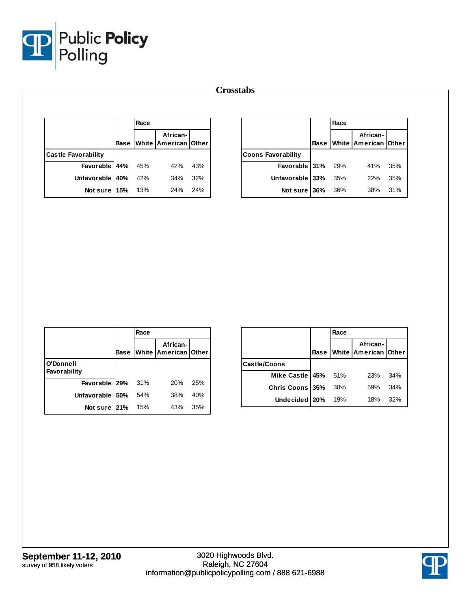

|                            |             | Race |                                  |     |                           |             | Race         |                               |     |
|----------------------------|-------------|------|----------------------------------|-----|---------------------------|-------------|--------------|-------------------------------|-----|
|                            | <b>Base</b> |      | African-<br>White American Other |     |                           | <b>Base</b> | <b>White</b> | African-<br> American   Other |     |
| <b>Castle Favorability</b> |             |      |                                  |     | <b>Coons Favorability</b> |             |              |                               |     |
| Favorable 44%              |             | 45%  | 42%                              | 43% | Favorable 31%             |             | 29%          | 41%                           | 35% |
| Unfavorable 40%            |             | 42%  | 34%                              | 32% | Unfavorable 33%           |             | 35%          | 22%                           | 35% |
| Not sure 15%               |             | 13%  | 24%                              | 24% | Not sure 36%              |             | 36%          | 38%                           | 31% |

|                           |             | Race  |                                  |     |
|---------------------------|-------------|-------|----------------------------------|-----|
|                           | <b>Base</b> |       | African-<br>White American Other |     |
| O'Donnell<br>Favorability |             |       |                                  |     |
| Favorable 29%             |             | - 31% | 20%                              | 25% |
| Unfavorable   50%         |             | 54%   | 38%                              | 40% |
| Not sure 21%              |             | 15%   | 43%                              | 35% |

|                     |             | Race |                                  |     |
|---------------------|-------------|------|----------------------------------|-----|
|                     | <b>Base</b> |      | African-<br>White American Other |     |
| <b>Castle/Coons</b> |             |      |                                  |     |
| Mike Castle 45% 51% |             |      | 23%                              | 34% |
| Chris Coons 35%     |             | 30%  | 59%                              | 34% |
| Undecided 20%       |             | 19%  | 18%                              | 32% |

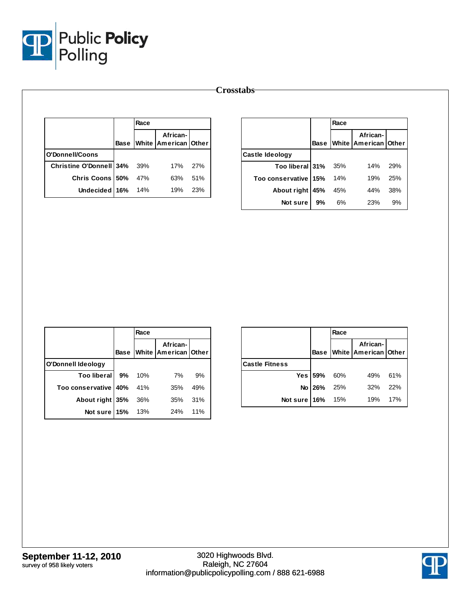

|                         |             | Race |                                      |     |
|-------------------------|-------------|------|--------------------------------------|-----|
|                         | <b>Base</b> |      | African-<br>White   American   Other |     |
| O'Donnell/Coons         |             |      |                                      |     |
| Christine O'Donnell 34% |             | 39%  | 17%                                  | 27% |
| <b>Chris Coons 50%</b>  |             | 47%  | 63%                                  | 51% |
| Undecided 16%           |             | 14%  | 19%                                  | 23% |
|                         |             |      |                                      |     |

|                      |             | Race |                                      |            |
|----------------------|-------------|------|--------------------------------------|------------|
|                      | <b>Base</b> |      | African-<br>White   American   Other |            |
| Castle Ideology      |             |      |                                      |            |
| Too liberal 31% 35%  |             |      | 14%                                  | <b>29%</b> |
| Too conservative 15% |             | 14%  | 19%                                  | 25%        |
| About right          | 45%         | 45%  | 44%                                  | 38%        |
| Not sure             | 9%          | 6%   | 23%                                  | 9%         |

|                           |             | Race |                                  |     |
|---------------------------|-------------|------|----------------------------------|-----|
|                           | <b>Base</b> |      | African-<br>White American Other |     |
| <b>O'Donnell Ideology</b> |             |      |                                  |     |
| Too liberal 9%            |             | 10%  | 7%                               | 9%  |
| Too conservative   40%    |             | 41%  | 35%                              | 49% |
| About right 35%           |             | 36%  | 35%                              | 31% |
| Not sure 15%              |             | 13%  | 24%                              | 11% |

|                       |         | Race |                                       |     |
|-----------------------|---------|------|---------------------------------------|-----|
|                       |         |      | African-<br>Base White American Other |     |
| <b>Castle Fitness</b> |         |      |                                       |     |
|                       | Yes 59% | 60%  | 49%                                   | 61% |
|                       | No 26%  | 25%  | 32%                                   | 22% |
| Not sure 16% 15%      |         |      | 19%                                   | 17% |

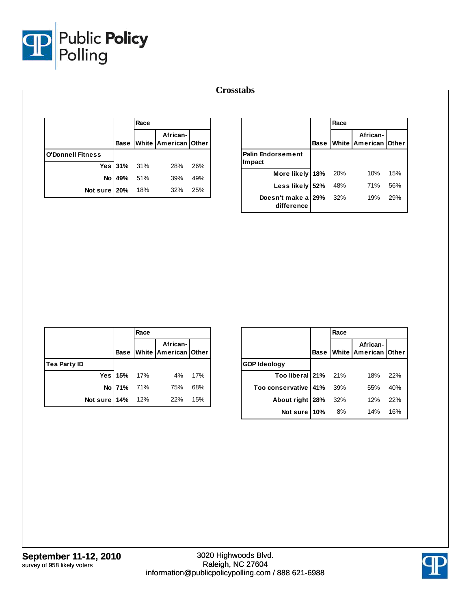

|                          |           | Race |                                       |     |                          |     | Race              |                            |
|--------------------------|-----------|------|---------------------------------------|-----|--------------------------|-----|-------------------|----------------------------|
|                          |           |      | African-<br>Base White American Other |     |                          |     | <b>Base White</b> | African-<br>American Other |
| <b>O'Donnell Fitness</b> |           |      |                                       |     | <b>Palin Endorsement</b> |     |                   |                            |
|                          | Yes $31%$ | 31%  | 28%                                   | 26% | Im pact                  |     |                   |                            |
|                          | No 49%    | 51%  | 39%                                   | 49% | More likely              | 18% | 20%               | 10%                        |
| Not sure 20%             |           | 18%  | 32%                                   | 25% | Less likely 52%          |     | 48%               | 71%                        |
|                          |           |      |                                       |     | Doesn't make a 29%       |     | 32%               | 19%                        |
|                          |           |      |                                       |     | difference               |     |                   |                            |

|                     |             | Race |                                       |     |
|---------------------|-------------|------|---------------------------------------|-----|
|                     |             |      | African-<br>Base White American Other |     |
| <b>Tea Party ID</b> |             |      |                                       |     |
|                     | Yes 15% 17% |      | 4%                                    | 17% |
|                     | No 71% 71%  |      | 75%                                   | 68% |
| Not sure   14% 12%  |             |      | 22%                                   | 15% |

|                        |             | Race |                                  |     |
|------------------------|-------------|------|----------------------------------|-----|
|                        | <b>Base</b> |      | African-<br>White American Other |     |
| <b>GOP Ideology</b>    |             |      |                                  |     |
| Too liberal 21% 21%    |             |      | 18%                              | 22% |
| Too conservative 41%   |             | 39%  | 55%                              | 40% |
| About right $28\%$ 32% |             |      | 12%                              | 22% |
| Not sure 10%           |             | - 8% | 14%                              | 16% |

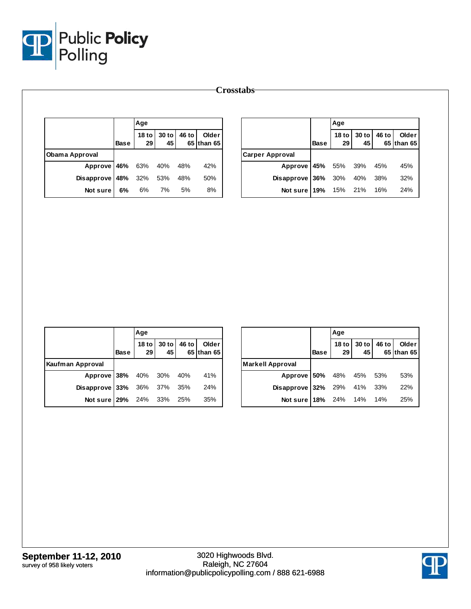

|                |             | Age                    |             |       |                     |                        |             | Age                                 |             |       |                     |
|----------------|-------------|------------------------|-------------|-------|---------------------|------------------------|-------------|-------------------------------------|-------------|-------|---------------------|
|                | <b>Base</b> | 18 <sub>to</sub><br>29 | 30 to<br>45 | 46 to | Older<br>65 than 65 |                        | <b>Base</b> | 18 <sub>to</sub><br>29 <sub>1</sub> | 30 to<br>45 | 46 to | Older<br>65 than 65 |
| Obama Approval |             |                        |             |       |                     | <b>Carper Approval</b> |             |                                     |             |       |                     |
| Approve 46%    |             | 63%                    | 40%         | 48%   | 42%                 | Approve                | 45%         | 55%                                 | 39%         | 45%   | 45%                 |
| Disapprove 48% |             | 32%                    | 53%         | 48%   | 50%                 | Disapprove 36%         |             | 30%                                 | 40%         | 38%   | 32%                 |
| Not sure       | 6%          | 6%                     | 7%          | 5%    | 8%                  | Not sure $19%$         |             | 15%                                 | 21%         | 16%   | 24%                 |

|                                   |             | Age |                            |                     |
|-----------------------------------|-------------|-----|----------------------------|---------------------|
|                                   | <b>Base</b> |     | 18 to 30 to 46 to 29 45 65 | Older<br>65 than 65 |
| Kaufman Approval                  |             |     |                            |                     |
| Approve 38% 40% 30% 40%           |             |     |                            | 41%                 |
| <b>Disapprove 33%</b> 36% 37% 35% |             |     |                            | 24%                 |
| Not sure 29% 24% 33% 25%          |             |     |                            | 35%                 |

|                                   |             | Age               |             |       |                     |
|-----------------------------------|-------------|-------------------|-------------|-------|---------------------|
|                                   | <b>Base</b> | 18 to $ $<br>29 I | 30 to<br>45 | 46 to | Older<br>65 than 65 |
| <b>Markell Approval</b>           |             |                   |             |       |                     |
| Approve 50% 48% 45% 53%           |             |                   |             |       | 53%                 |
| <b>Disapprove 32%</b> 29% 41% 33% |             |                   |             |       | 22%                 |
| Not sure 18% 24% 14% 14%          |             |                   |             |       | 25%                 |

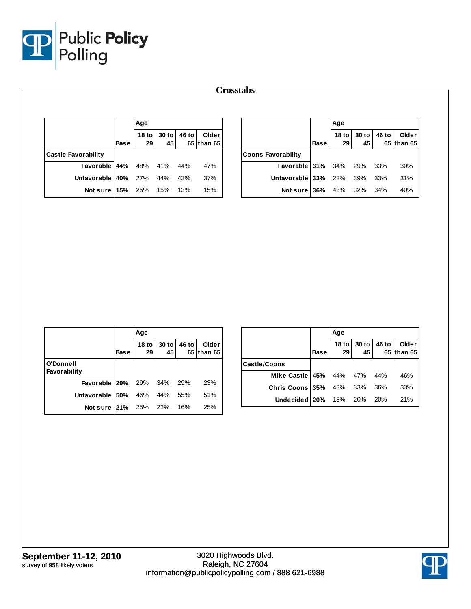

|                            |             | Age                    |             |       |                     |                           |             | Age                    |             |       |                     |
|----------------------------|-------------|------------------------|-------------|-------|---------------------|---------------------------|-------------|------------------------|-------------|-------|---------------------|
|                            | <b>Base</b> | 18 <sub>to</sub><br>29 | 30 to<br>45 | 46 to | Older<br>65 than 65 |                           | <b>Base</b> | 18 <sub>to</sub><br>29 | 30 to<br>45 | 46 to | Older<br>65 than 65 |
| <b>Castle Favorability</b> |             |                        |             |       |                     | <b>Coons Favorability</b> |             |                        |             |       |                     |
| Favorable 44%              |             | 48%                    | 41%         | 44%   | 47%                 | Favorable 31%             |             | 34%                    | 29%         | 33%   | 30%                 |
| Unfavorable   40%          |             | 27%                    | 44%         | 43%   | 37%                 | Unfavorable 33%           |             | 22%                    | 39%         | 33%   | 31%                 |
| Not sure 15%               |             | 25%                    | 15%         | 13%   | 15%                 | Not sure 36%              |             | 43%                    | 32%         | 34%   | 40%                 |

|                                  |             | Age             |               |              |                     |
|----------------------------------|-------------|-----------------|---------------|--------------|---------------------|
|                                  | <b>Base</b> | 18 to $ $<br>29 | $30$ to<br>45 | <b>46 to</b> | Older<br>65 than 65 |
| O'Donnell<br>Favorability        |             |                 |               |              |                     |
| <b>Favorable 29%</b> 29% 34% 29% |             |                 |               |              | 23%                 |
| Unfavorable $150\%$ 46% 44%      |             |                 |               | 55%          | 51%                 |
| Not sure 21% 25% 22% 16%         |             |                 |               |              | 25%                 |

|                               |             | Aqe                                 |             |       |                     |
|-------------------------------|-------------|-------------------------------------|-------------|-------|---------------------|
|                               | <b>Base</b> | 18 <sub>to</sub><br>29 <sub>l</sub> | 30 to<br>45 | 46 to | Older<br>65 than 65 |
| <b>Castle/Coons</b>           |             |                                     |             |       |                     |
| Mike Castle   45% 44% 47% 44% |             |                                     |             |       | 46%                 |
| Chris Coons 35% 43% 33% 36%   |             |                                     |             |       | 33%                 |
| Undecided 20% 13% 20% 20%     |             |                                     |             |       | 21%                 |

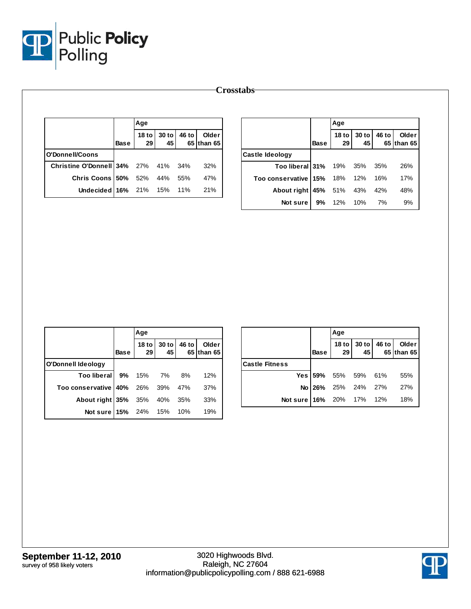

|                         |             | Age                              |               |       |                     |                        |             | Age                                 |             |       |                     |
|-------------------------|-------------|----------------------------------|---------------|-------|---------------------|------------------------|-------------|-------------------------------------|-------------|-------|---------------------|
|                         | <b>Base</b> | 18 to $\vert$<br>29 <sub>1</sub> | $30$ to<br>45 | 46 to | Older<br>65 than 65 |                        | <b>Base</b> | 18 <sub>to</sub><br>29 <sub>l</sub> | 30 to<br>45 | 46 to | Older<br>65 than 65 |
| O'Donnell/Coons         |             |                                  |               |       |                     | <b>Castle Ideology</b> |             |                                     |             |       |                     |
| Christine O'Donnell 34% |             | 27%                              | 41%           | 34%   | 32%                 | Too liberal 31%        |             | 19%                                 | 35%         | 35%   | 26%                 |
| Chris Coons 50%         |             | 52%                              | 44%           | 55%   | 47%                 | Too conservative 15%   |             | 18%                                 | 12%         | 16%   | 17%                 |
| Undecided 16%           |             | 21%                              | 15%           | 11%   | 21%                 | About right 45%        |             | 51%                                 | 43%         | 42%   | 48%                 |
|                         |             |                                  |               |       |                     | Not sure               | 9%          | 12%                                 | 10%         | 7%    | 9%                  |

|                                  |             | Age                 |               |              |                       |
|----------------------------------|-------------|---------------------|---------------|--------------|-----------------------|
|                                  | <b>Base</b> | 18 to $\vert$<br>29 | $30$ to<br>45 | <b>46 to</b> | Older<br>$65$ than 65 |
| O'Donnell Ideology               |             |                     |               |              |                       |
| Too liberal 9% 15% 7% 8%         |             |                     |               |              | 12%                   |
| Too conservative 40% 26% 39% 47% |             |                     |               |              | 37%                   |
| About right 35% 35% 40% 35%      |             |                     |               |              | 33%                   |
| Not sure 15% 24% 15% 10%         |             |                     |               |              | 19%                   |

|                          |             | Age                    |    |                                       |
|--------------------------|-------------|------------------------|----|---------------------------------------|
|                          | <b>Base</b> | 29 <sub>1</sub>        | 45 | 18 to 30 to 46 to Clder<br>65 than 65 |
| <b>ICastle Fitness</b>   |             |                        |    |                                       |
|                          |             | Yes 59% 55% 59% 61%    |    | 55%                                   |
|                          |             | No 26% 25% 24% 27% 27% |    |                                       |
| Not sure 16% 20% 17% 12% |             |                        |    | 18%                                   |